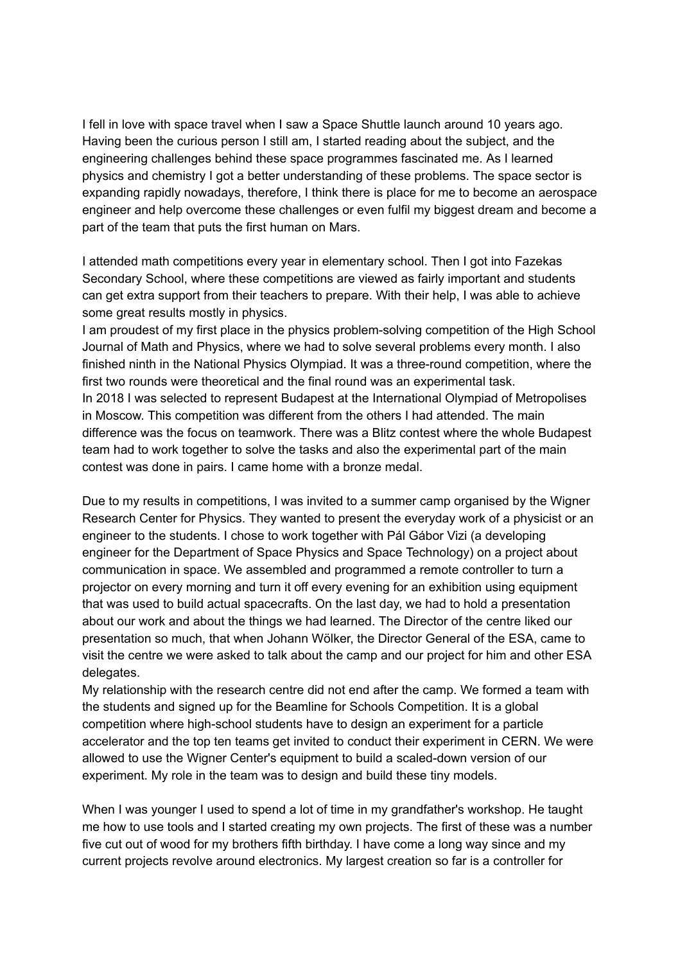I fell in love with space travel when I saw a Space Shuttle launch around 10 years ago. Having been the curious person I still am, I started reading about the subject, and the engineering challenges behind these space programmes fascinated me. As I learned physics and chemistry I got a better understanding of these problems. The space sector is expanding rapidly nowadays, therefore, I think there is place for me to become an aerospace engineer and help overcome these challenges or even fulfil my biggest dream and become a part of the team that puts the first human on Mars.

I attended math competitions every year in elementary school. Then I got into Fazekas Secondary School, where these competitions are viewed as fairly important and students can get extra support from their teachers to prepare. With their help, I was able to achieve some great results mostly in physics.

I am proudest of my first place in the physics problem-solving competition of the High School Journal of Math and Physics, where we had to solve several problems every month. I also finished ninth in the National Physics Olympiad. It was a three-round competition, where the first two rounds were theoretical and the final round was an experimental task. In 2018 I was selected to represent Budapest at the International Olympiad of Metropolises in Moscow. This competition was different from the others I had attended. The main difference was the focus on teamwork. There was a Blitz contest where the whole Budapest team had to work together to solve the tasks and also the experimental part of the main contest was done in pairs. I came home with a bronze medal.

Due to my results in competitions, I was invited to a summer camp organised by the Wigner Research Center for Physics. They wanted to present the everyday work of a physicist or an engineer to the students. I chose to work together with Pál Gábor Vizi (a developing engineer for the Department of Space Physics and Space Technology) on a project about communication in space. We assembled and programmed a remote controller to turn a projector on every morning and turn it off every evening for an exhibition using equipment that was used to build actual spacecrafts. On the last day, we had to hold a presentation about our work and about the things we had learned. The Director of the centre liked our presentation so much, that when Johann Wölker, the Director General of the ESA, came to visit the centre we were asked to talk about the camp and our project for him and other ESA delegates.

My relationship with the research centre did not end after the camp. We formed a team with the students and signed up for the Beamline for Schools Competition. It is a global competition where high-school students have to design an experiment for a particle accelerator and the top ten teams get invited to conduct their experiment in CERN. We were allowed to use the Wigner Center's equipment to build a scaled-down version of our experiment. My role in the team was to design and build these tiny models.

When I was younger I used to spend a lot of time in my grandfather's workshop. He taught me how to use tools and I started creating my own projects. The first of these was a number five cut out of wood for my brothers fifth birthday. I have come a long way since and my current projects revolve around electronics. My largest creation so far is a controller for